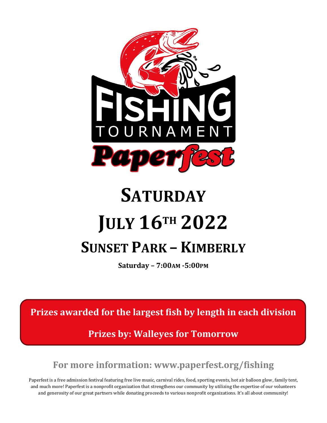

# **SATURDAY JULY 16TH 2022 SUNSET PARK – KIMBERLY**

**Saturday – 7:00AM -5:00PM**

**Prizes awarded for the largest fish by length in each division** 

**Prizes by: Walleyes for Tomorrow**

**For more information: www.paperfest.org/fishing**

Paperfest is a free admission festival featuring free live music, carnival rides, food, sporting events, hot air balloon glow, family tent, and much more! Paperfest is a nonprofit organization that strengthens our community by utilizing the expertise of our volunteers and generosity of our great partners while donating proceeds to various nonprofit organizations. It's all about community!